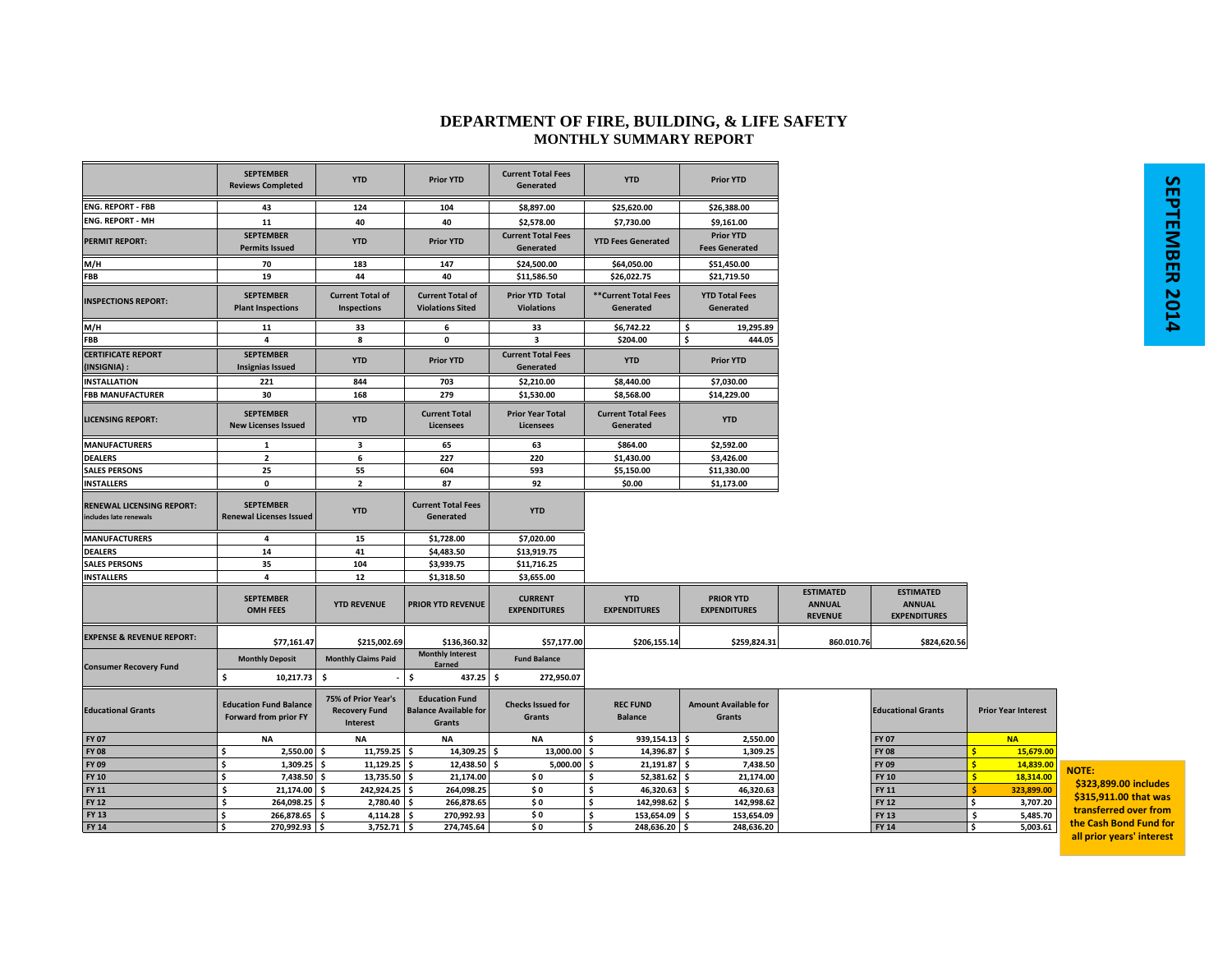## **DEPARTMENT OF FIRE, BUILDING, & LIFE SAFETY MONTHLY SUMMARY REPORT**

|                                                    | <b>SEPTEMBER</b><br><b>Reviews Completed</b>                  | <b>YTD</b>                                                     | <b>Prior YTD</b>                                                | <b>Current Total Fees</b><br>Generated      | <b>YTD</b>                                | <b>Prior YTD</b>                          |                                                     |                                                          |                                  |
|----------------------------------------------------|---------------------------------------------------------------|----------------------------------------------------------------|-----------------------------------------------------------------|---------------------------------------------|-------------------------------------------|-------------------------------------------|-----------------------------------------------------|----------------------------------------------------------|----------------------------------|
| <b>ENG. REPORT - FBB</b>                           | 43                                                            | 124                                                            | 104                                                             | \$8,897.00                                  | \$25,620.00                               | \$26,388.00                               |                                                     |                                                          |                                  |
| <b>ENG. REPORT - MH</b>                            | 11                                                            | 40                                                             | 40                                                              | \$2,578.00                                  | \$7,730.00                                | \$9,161.00                                |                                                     |                                                          |                                  |
| <b>PERMIT REPORT:</b>                              | <b>SEPTEMBER</b><br><b>Permits Issued</b>                     | <b>YTD</b>                                                     | <b>Prior YTD</b>                                                | <b>Current Total Fees</b><br>Generated      | <b>YTD Fees Generated</b>                 | <b>Prior YTD</b><br><b>Fees Generated</b> |                                                     |                                                          |                                  |
| M/H                                                | 70                                                            | 183                                                            | 147                                                             | \$24,500.00                                 | \$64,050.00                               | \$51,450.00                               |                                                     |                                                          |                                  |
| <b>FBB</b>                                         | 19                                                            | 44                                                             | 40                                                              | \$11,586.50                                 | \$26,022.75                               | \$21,719.50                               |                                                     |                                                          |                                  |
| <b>INSPECTIONS REPORT:</b>                         | <b>SEPTEMBER</b><br><b>Plant Inspections</b>                  | <b>Current Total of</b><br>Inspections                         | <b>Current Total of</b><br><b>Violations Sited</b>              | <b>Prior YTD Total</b><br><b>Violations</b> | **Current Total Fees<br>Generated         | <b>YTD Total Fees</b><br>Generated        |                                                     |                                                          |                                  |
| M/H                                                | 11                                                            | 33                                                             | 6                                                               | 33                                          | \$6,742.22                                | \$<br>19,295.89                           |                                                     |                                                          |                                  |
| FBB                                                | $\overline{4}$                                                | 8                                                              | $\mathbf 0$                                                     | 3                                           | \$204.00                                  | \$<br>444.05                              |                                                     |                                                          |                                  |
| <b>CERTIFICATE REPORT</b><br>(INSIGNIA) :          | <b>SEPTEMBER</b><br><b>Insignias Issued</b>                   | <b>YTD</b>                                                     | <b>Prior YTD</b>                                                | <b>Current Total Fees</b><br>Generated      | <b>YTD</b>                                | <b>Prior YTD</b>                          |                                                     |                                                          |                                  |
| <b>INSTALLATION</b>                                | 221                                                           | 844                                                            | 703                                                             | \$2,210.00                                  | \$8,440.00                                | \$7,030.00                                |                                                     |                                                          |                                  |
| <b>FBB MANUFACTURER</b>                            | 30                                                            | 168                                                            | 279                                                             | \$1,530.00                                  | \$8,568.00                                | \$14,229.00                               |                                                     |                                                          |                                  |
| LICENSING REPORT:                                  | <b>SEPTEMBER</b><br><b>New Licenses Issued</b>                | <b>YTD</b>                                                     | <b>Current Total</b><br><b>Licensees</b>                        | <b>Prior Year Total</b><br><b>Licensees</b> | <b>Current Total Fees</b><br>Generated    | <b>YTD</b>                                |                                                     |                                                          |                                  |
| <b>MANUFACTURERS</b>                               | 1                                                             | $\overline{\mathbf{3}}$                                        | 65                                                              | 63                                          | \$864.00                                  | \$2,592.00                                |                                                     |                                                          |                                  |
| <b>DEALERS</b>                                     | $\overline{2}$                                                | 6                                                              | 227                                                             | 220                                         | \$1,430.00                                | \$3,426.00                                |                                                     |                                                          |                                  |
| <b>SALES PERSONS</b>                               | 25                                                            | 55                                                             | 604                                                             | 593                                         | \$5,150.00                                | \$11,330.00                               |                                                     |                                                          |                                  |
| <b>INSTALLERS</b>                                  | $\mathbf 0$                                                   | $\overline{2}$                                                 | 87                                                              | 92                                          | \$0.00                                    | \$1,173.00                                |                                                     |                                                          |                                  |
| RENEWAL LICENSING REPORT:<br>ncludes late renewals | <b>SEPTEMBER</b><br><b>Renewal Licenses Issued</b>            | <b>YTD</b>                                                     | <b>Current Total Fees</b><br>Generated                          | <b>YTD</b>                                  |                                           |                                           |                                                     |                                                          |                                  |
| <b>MANUFACTURERS</b>                               | $\overline{a}$                                                | 15                                                             | \$1,728.00                                                      | \$7,020.00                                  |                                           |                                           |                                                     |                                                          |                                  |
| <b>DEALERS</b>                                     | 14                                                            | 41                                                             | \$4,483.50                                                      | \$13,919.75                                 |                                           |                                           |                                                     |                                                          |                                  |
| <b>SALES PERSONS</b>                               | 35                                                            | 104                                                            | \$3,939.75                                                      | \$11,716.25                                 |                                           |                                           |                                                     |                                                          |                                  |
| <b>INSTALLERS</b>                                  | 4                                                             | 12                                                             | \$1,318.50                                                      | \$3,655.00                                  |                                           |                                           |                                                     |                                                          |                                  |
|                                                    | <b>SEPTEMBER</b><br><b>OMH FEES</b>                           | <b>YTD REVENUE</b>                                             | PRIOR YTD REVENUE                                               | <b>CURRENT</b><br><b>EXPENDITURES</b>       | <b>YTD</b><br><b>EXPENDITURES</b>         | <b>PRIOR YTD</b><br><b>EXPENDITURES</b>   | <b>ESTIMATED</b><br><b>ANNUAL</b><br><b>REVENUE</b> | <b>ESTIMATED</b><br><b>ANNUAL</b><br><b>EXPENDITURES</b> |                                  |
| <b>EXPENSE &amp; REVENUE REPORT:</b>               | \$77,161.47                                                   | \$215,002.69                                                   | \$136,360.32<br><b>Monthly Interest</b>                         | \$57,177.00                                 | \$206,155.14                              | \$259,824.31                              | 860.010.76                                          | \$824,620.56                                             |                                  |
| <b>Consumer Recovery Fund</b>                      | <b>Monthly Deposit</b>                                        | <b>Monthly Claims Paid</b>                                     | Earned                                                          | <b>Fund Balance</b>                         |                                           |                                           |                                                     |                                                          |                                  |
|                                                    | \$<br>10,217.73                                               | -\$                                                            | s.<br>$437.25$ \$                                               | 272,950.07                                  |                                           |                                           |                                                     |                                                          |                                  |
| <b>Educational Grants</b>                          | <b>Education Fund Balance</b><br><b>Forward from prior FY</b> | 75% of Prior Year's<br><b>Recovery Fund</b><br><b>Interest</b> | <b>Education Fund</b><br><b>Balance Available for</b><br>Grants | <b>Checks Issued for</b><br>Grants          | <b>REC FUND</b><br><b>Balance</b>         | <b>Amount Available for</b><br>Grants     |                                                     | <b>Educational Grants</b>                                | <b>Prior Year Interest</b>       |
| <b>FY 07</b>                                       | <b>NA</b>                                                     | <b>NA</b>                                                      | <b>NA</b>                                                       | <b>NA</b>                                   | \$<br>939,154.13 \$                       | 2,550.00                                  |                                                     | <b>FY 07</b>                                             | <b>NA</b>                        |
| <b>FY 08</b>                                       | 2,550.00<br>Ś                                                 | 11,759.25 \$<br>-\$                                            | 14,309.25 \$                                                    | 13,000.00                                   | \$<br>14,396.87 \$                        | 1,309.25                                  |                                                     | <b>FY 08</b>                                             | 15,679.00<br>ŝ                   |
| FY 09                                              | \$<br>$1,309.25$ \$                                           | $11,129.25$ \$                                                 | 12,438.50 \$                                                    | $5,000.00$ \$                               | 21,191.87 \$                              | 7,438.50                                  |                                                     | FY 09                                                    | 14,839.00<br>Ś                   |
| <b>FY 10</b>                                       | Ś<br>7,438.50                                                 | 13,735.50 \$<br>\$                                             | 21,174.00                                                       | \$0                                         | Ś<br>52,381.62 \$                         | 21.174.00                                 |                                                     | <b>FY 10</b>                                             | 18,314.00                        |
| FY 11                                              | \$<br>21,174.00                                               | \$<br>242,924.25 \$                                            | 264,098.25                                                      | \$0                                         | Ś<br>46,320.63 \$                         | 46,320.63                                 |                                                     | FY 11                                                    | 323,899.00                       |
| <b>FY 12</b>                                       | \$<br>264,098.25                                              | 2,780.40 \$<br>\$.                                             | 266,878.65                                                      | \$0                                         | \$<br>142,998.62 \$                       | 142,998.62                                |                                                     | <b>FY 12</b>                                             | Ś<br>3,707.20                    |
| <b>FY 13</b><br><b>FY 14</b>                       | ¢<br>266,878.65<br>\$                                         | Ŝ.<br>$4,114.28$ \$<br>$3,752.71$ \$                           | 270,992.93                                                      | \$0                                         | Ś<br>153,654.09 \$<br>\$<br>248,636.20 \$ | 153,654.09                                |                                                     | <b>FY 13</b><br>FY 14                                    | \$<br>5,485.70<br>\$<br>5,003.61 |
|                                                    | 270,992.93 \$                                                 |                                                                | 274,745.64                                                      | \$0                                         |                                           | 248,636.20                                |                                                     |                                                          |                                  |

**NOTE:**

**\$323,899.00 includes \$315,911.00 that was transferred over fromthe Cash Bond Fund for**

**all prior years' interest**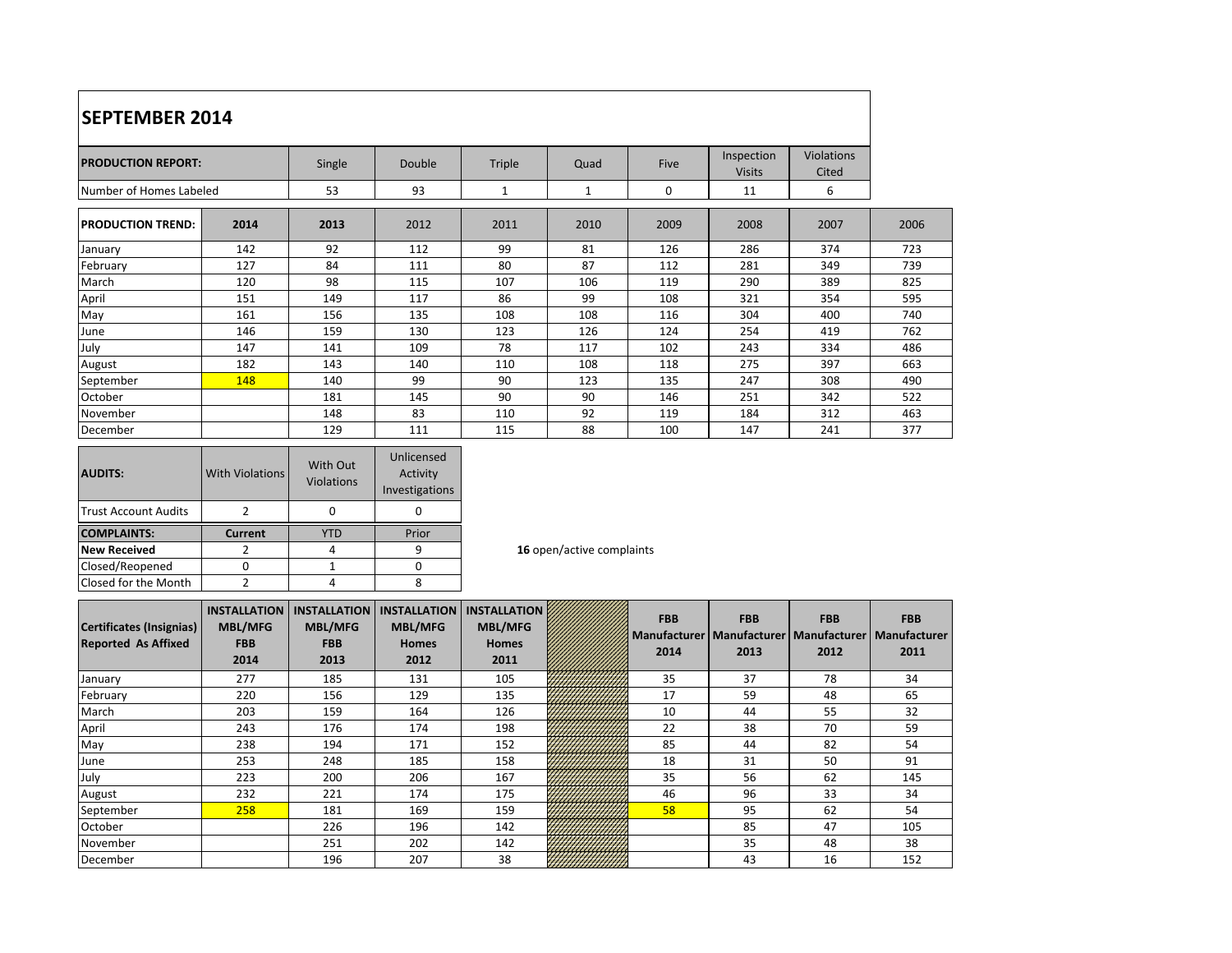| <b>SEPTEMBER 2014</b>     |      |        |        |        |              |      |                             |                            |     |  |
|---------------------------|------|--------|--------|--------|--------------|------|-----------------------------|----------------------------|-----|--|
| <b>PRODUCTION REPORT:</b> |      | Single | Double | Triple | Quad         | Five | Inspection<br><b>Visits</b> | <b>Violations</b><br>Cited |     |  |
| Number of Homes Labeled   |      | 53     | 93     | 1      | $\mathbf{1}$ | 0    | 11                          | 6                          |     |  |
| <b>PRODUCTION TREND:</b>  | 2014 | 2013   | 2012   | 2011   | 2010         | 2009 | 2008<br>2007                |                            |     |  |
| January                   | 142  | 92     | 112    | 99     | 81           | 126  | 286                         | 374                        | 723 |  |
| February                  | 127  | 84     | 111    | 80     | 87           | 112  | 281                         | 349                        | 739 |  |
| March                     | 120  | 98     | 115    | 107    | 106          | 119  | 290                         | 389                        | 825 |  |
| April                     | 151  | 149    | 117    | 86     | 99           | 108  | 321                         | 354                        | 595 |  |
| May                       | 161  | 156    | 135    | 108    | 108          | 116  | 304                         | 400                        | 740 |  |
| June                      | 146  | 159    | 130    | 123    | 126          | 124  | 254                         | 419                        | 762 |  |
| July                      | 147  | 141    | 109    | 78     | 117          | 102  | 243                         | 334                        | 486 |  |
| August                    | 182  | 143    | 140    | 110    | 108          | 118  | 275                         | 397                        | 663 |  |
| September                 | 148  | 140    | 99     | 90     | 123          | 135  |                             | 308                        | 490 |  |
| October                   |      | 181    | 145    | 90     | 90           | 146  | 251                         | 342                        | 522 |  |
| November                  |      | 148    | 83     | 110    | 92           | 119  | 184                         | 312                        | 463 |  |
| December                  |      | 129    | 111    | 115    | 88           | 100  | 147                         | 241                        | 377 |  |

| <b>AUDITS:</b>              | <b>With Violations</b> | With Out<br><b>Violations</b> | Unlicensed<br>Activity<br>Investigations |  |  |
|-----------------------------|------------------------|-------------------------------|------------------------------------------|--|--|
| <b>Trust Account Audits</b> |                        |                               |                                          |  |  |
|                             |                        |                               |                                          |  |  |
| <b>COMPLAINTS:</b>          | <b>Current</b>         | חד                            | Prior                                    |  |  |
| <b>New Received</b>         |                        |                               |                                          |  |  |
| Closed/Reopened             |                        |                               |                                          |  |  |

**16** open/active complaints

| Certificates (Insignias)<br><b>Reported As Affixed</b> | <b>INSTALLATION</b><br><b>MBL/MFG</b><br><b>FBB</b><br>2014 | <b>INSTALLATION</b><br><b>MBL/MFG</b><br><b>FBB</b><br>2013 | <b>INSTALLATION</b><br><b>MBL/MFG</b><br><b>Homes</b><br>2012 | <b>INSTALLATION</b><br><b>MBL/MFG</b><br><b>Homes</b><br>2011 |  |  | <b>FBB</b><br><b>Manufacturer</b><br>2014 | <b>FBB</b><br>2013 | <b>FBB</b><br>Manufacturer   Manufacturer   Manufacturer<br>2012 | <b>FBB</b><br>2011 |
|--------------------------------------------------------|-------------------------------------------------------------|-------------------------------------------------------------|---------------------------------------------------------------|---------------------------------------------------------------|--|--|-------------------------------------------|--------------------|------------------------------------------------------------------|--------------------|
| January                                                | 277                                                         | 185                                                         | 131                                                           | 105                                                           |  |  | 35                                        | 37                 | 78                                                               | 34                 |
| February                                               | 220                                                         | 156                                                         | 129                                                           | 135                                                           |  |  | 17                                        | 59                 | 48                                                               | 65                 |
| March                                                  | 203                                                         | 159                                                         | 164                                                           | 126                                                           |  |  | 10                                        | 44                 | 55                                                               | 32                 |
| April                                                  | 243                                                         | 176                                                         | 174                                                           | 198                                                           |  |  | 22                                        | 38                 | 70                                                               | 59                 |
| May                                                    | 238                                                         | 194                                                         | 171                                                           | 152                                                           |  |  | 85                                        | 44                 | 82                                                               | 54                 |
| June                                                   | 253                                                         | 248                                                         | 185                                                           | 158                                                           |  |  | 18                                        | 31                 | 50                                                               | 91                 |
| July                                                   | 223                                                         | 200                                                         | 206                                                           | 167                                                           |  |  | 35                                        | 56                 | 62                                                               | 145                |
| August                                                 | 232                                                         | 221                                                         | 174                                                           | 175                                                           |  |  | 46                                        | 96                 | 33                                                               | 34                 |
| September                                              | 258                                                         | 181                                                         | 169                                                           | 159                                                           |  |  | 58                                        | 95                 | 62                                                               | 54                 |
| October                                                |                                                             | 226                                                         | 196                                                           | 142                                                           |  |  |                                           | 85                 | 47                                                               | 105                |
| November                                               |                                                             | 251                                                         | 202                                                           | 142                                                           |  |  |                                           | 35                 | 48                                                               | 38                 |
| December                                               |                                                             | 196                                                         | 207                                                           | 38                                                            |  |  |                                           | 43                 | 16                                                               | 152                |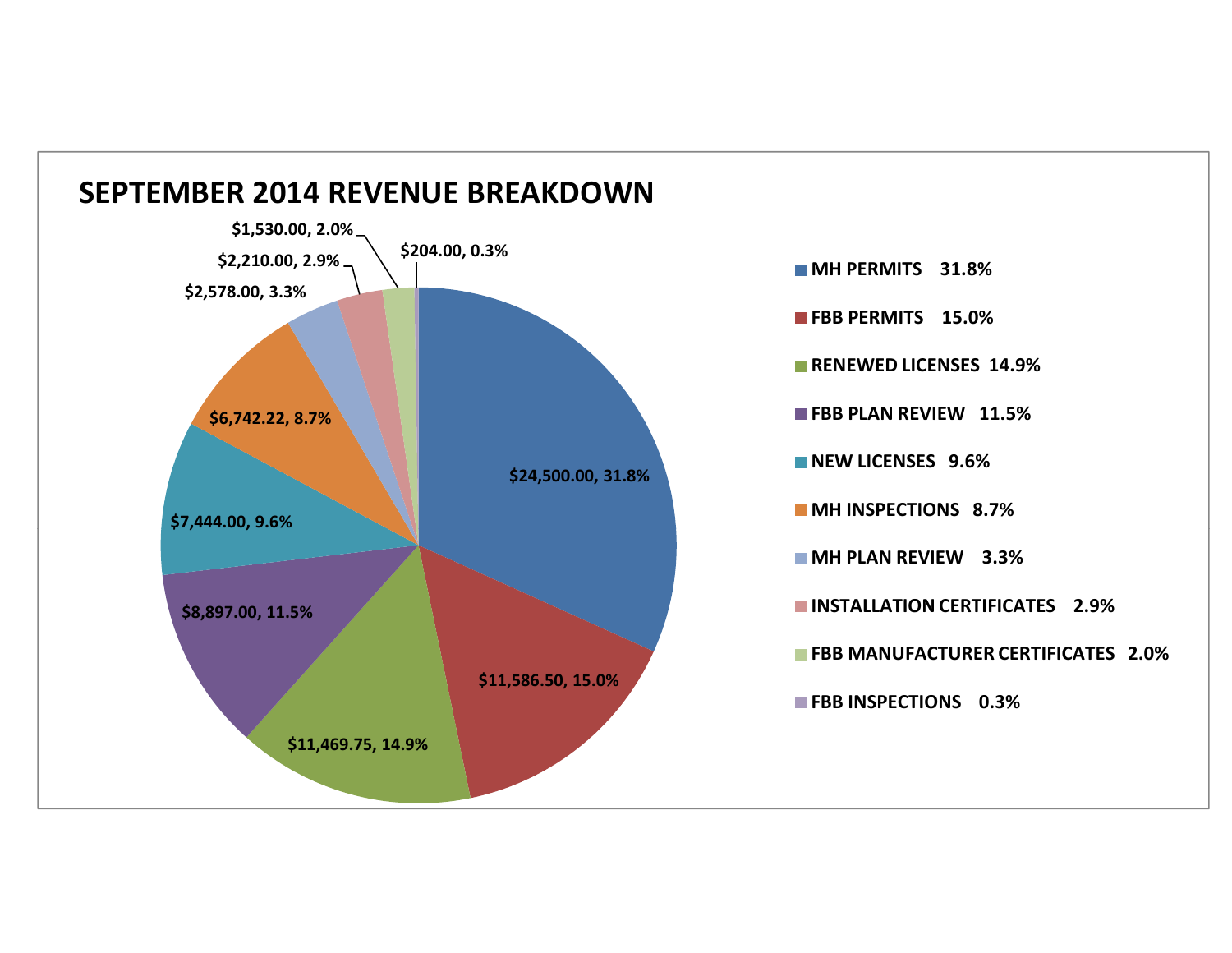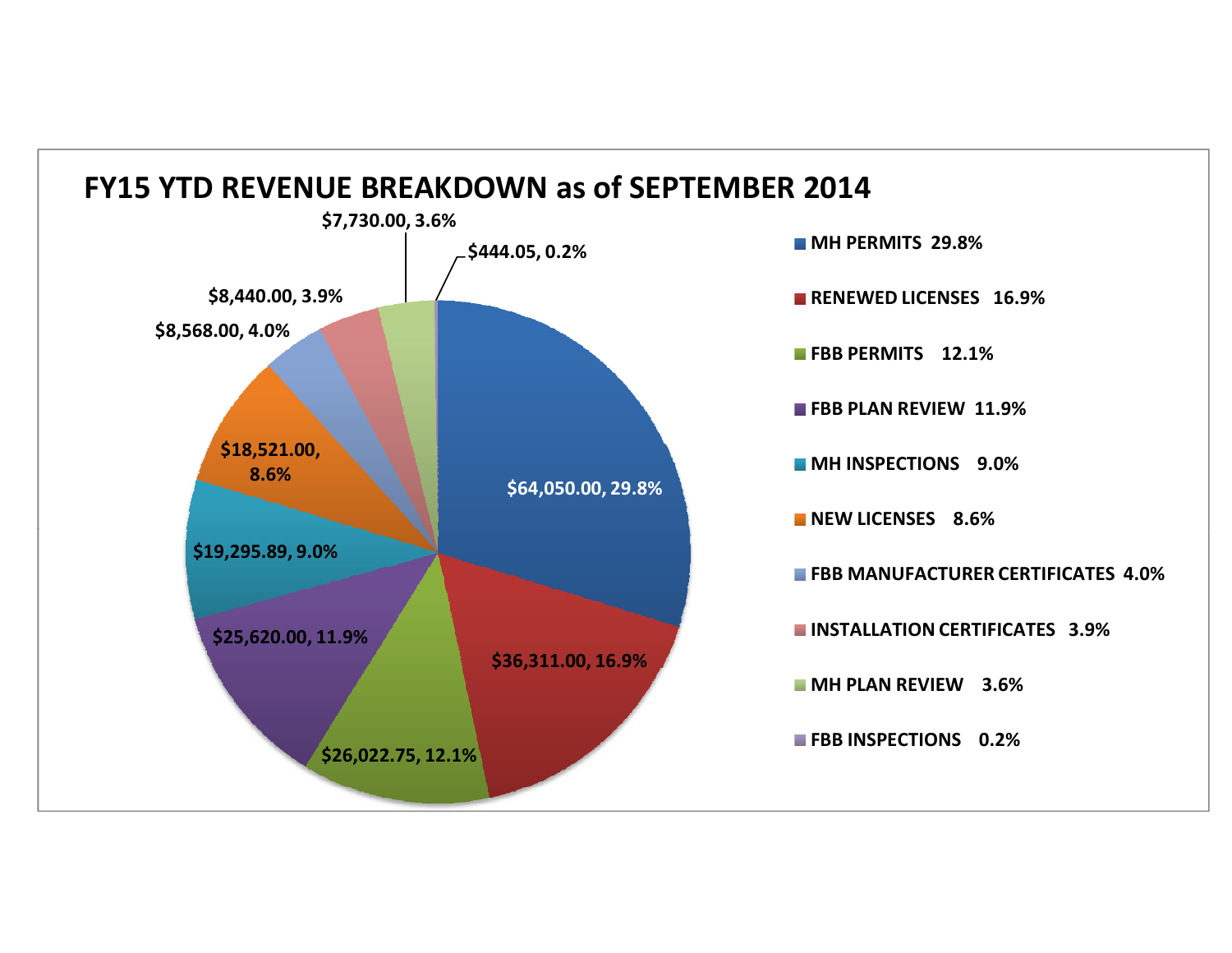